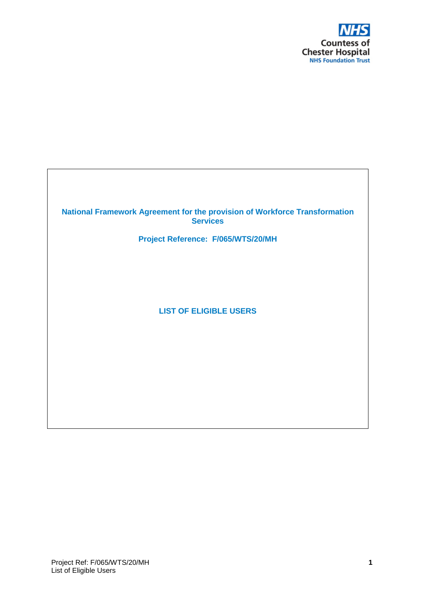

## **National Framework Agreement for the provision of Workforce Transformation Services**

**Project Reference: F/065/WTS/20/MH**

**LIST OF ELIGIBLE USERS**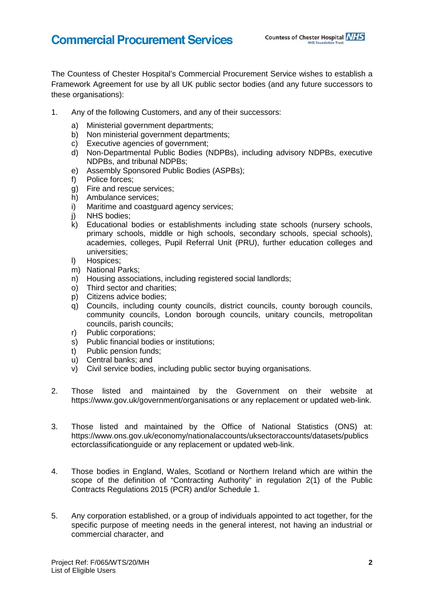## **Commercial Procurement Services**

The Countess of Chester Hospital's Commercial Procurement Service wishes to establish a Framework Agreement for use by all UK public sector bodies (and any future successors to these organisations):

- 1. Any of the following Customers, and any of their successors:
	- a) Ministerial government departments;
	- b) Non ministerial government departments;
	- c) Executive agencies of government;
	- d) Non-Departmental Public Bodies (NDPBs), including advisory NDPBs, executive NDPBs, and tribunal NDPBs;
	- e) Assembly Sponsored Public Bodies (ASPBs);
	- f) Police forces;
	- g) Fire and rescue services;
	- h) Ambulance services;
	- i) Maritime and coastguard agency services;
	- j) NHS bodies;
	- k) Educational bodies or establishments including state schools (nursery schools, primary schools, middle or high schools, secondary schools, special schools), academies, colleges, Pupil Referral Unit (PRU), further education colleges and universities;
	- l) Hospices;
	- m) National Parks;
	- n) Housing associations, including registered social landlords;
	- o) Third sector and charities;
	- p) Citizens advice bodies;
	- q) Councils, including county councils, district councils, county borough councils, community councils, London borough councils, unitary councils, metropolitan councils, parish councils;
	- r) Public corporations;
	- s) Public financial bodies or institutions;
	- t) Public pension funds;
	- u) Central banks; and
	- v) Civil service bodies, including public sector buying organisations.
- 2. Those listed and maintained by the Government on their website at <https://www.gov.uk/government/organisations> or any replacement or updated web-link.
- 3. Those listed and maintained by the Office of National Statistics (ONS) at: [https://www.ons.gov.uk/economy/nationalaccounts/uksectoraccounts/datasets/publics](https://www.ons.gov.uk/economy/nationalaccounts/uksectoraccounts/datasets/publicsectorclassificationguide) [ectorclassificationguide](https://www.ons.gov.uk/economy/nationalaccounts/uksectoraccounts/datasets/publicsectorclassificationguide) or any replacement or updated web-link.
- 4. Those bodies in England, Wales, Scotland or Northern Ireland which are within the scope of the definition of "Contracting Authority" in regulation 2(1) of the Public Contracts Regulations 2015 (PCR) and/or Schedule 1.
- 5. Any corporation established, or a group of individuals appointed to act together, for the specific purpose of meeting needs in the general interest, not having an industrial or commercial character, and